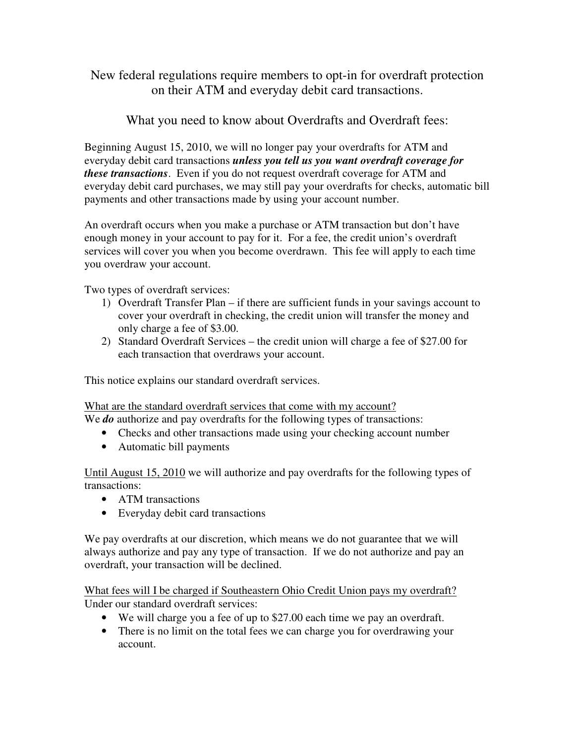New federal regulations require members to opt-in for overdraft protection on their ATM and everyday debit card transactions.

What you need to know about Overdrafts and Overdraft fees:

Beginning August 15, 2010, we will no longer pay your overdrafts for ATM and everyday debit card transactions *unless you tell us you want overdraft coverage for these transactions*. Even if you do not request overdraft coverage for ATM and everyday debit card purchases, we may still pay your overdrafts for checks, automatic bill payments and other transactions made by using your account number.

An overdraft occurs when you make a purchase or ATM transaction but don't have enough money in your account to pay for it. For a fee, the credit union's overdraft services will cover you when you become overdrawn. This fee will apply to each time you overdraw your account.

Two types of overdraft services:

- 1) Overdraft Transfer Plan if there are sufficient funds in your savings account to cover your overdraft in checking, the credit union will transfer the money and only charge a fee of \$3.00.
- 2) Standard Overdraft Services the credit union will charge a fee of \$27.00 for each transaction that overdraws your account.

This notice explains our standard overdraft services.

What are the standard overdraft services that come with my account?

We *do* authorize and pay overdrafts for the following types of transactions:

- Checks and other transactions made using your checking account number
- Automatic bill payments

Until August 15, 2010 we will authorize and pay overdrafts for the following types of transactions:

- ATM transactions
- Everyday debit card transactions

We pay overdrafts at our discretion, which means we do not guarantee that we will always authorize and pay any type of transaction. If we do not authorize and pay an overdraft, your transaction will be declined.

What fees will I be charged if Southeastern Ohio Credit Union pays my overdraft? Under our standard overdraft services:

- We will charge you a fee of up to \$27.00 each time we pay an overdraft.
- There is no limit on the total fees we can charge you for overdrawing your account.